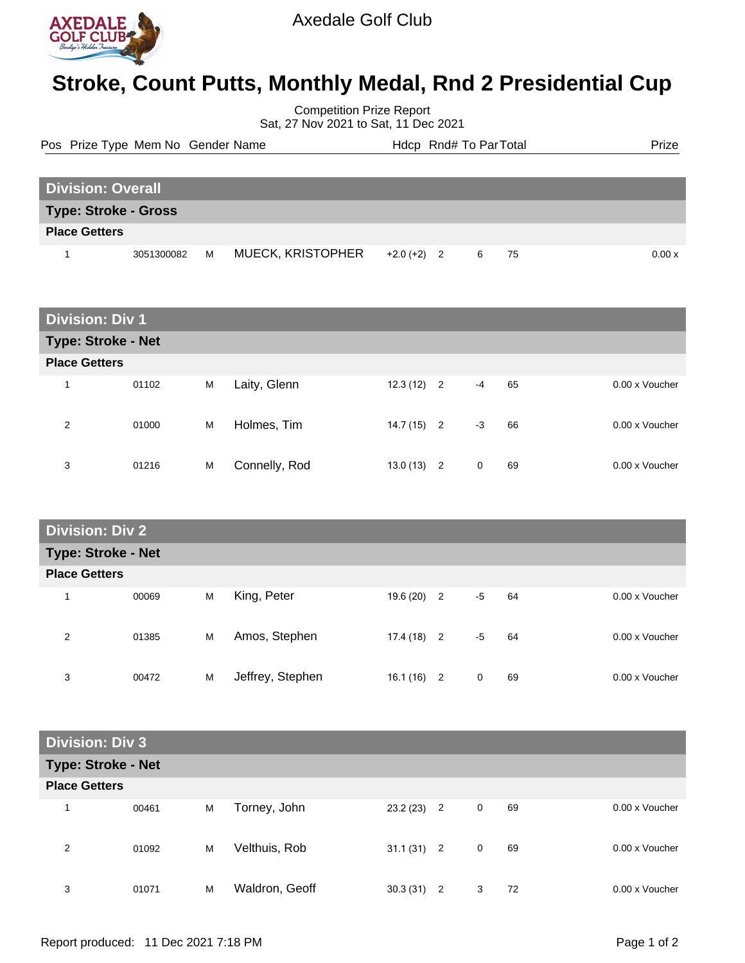

## **Stroke, Count Putts, Monthly Medal, Rnd 2 Presidential Cup**

Competition Prize Report Sat, 27 Nov 2021 to Sat, 11 Dec 2021

|                          | Pos Prize Type Mem No Gender Name |   |                          |               | Hdcp Rnd# To ParTotal |  | Prize  |
|--------------------------|-----------------------------------|---|--------------------------|---------------|-----------------------|--|--------|
| <b>Division: Overall</b> |                                   |   |                          |               |                       |  |        |
|                          | <b>Type: Stroke - Gross</b>       |   |                          |               |                       |  |        |
| <b>Place Getters</b>     |                                   |   |                          |               |                       |  |        |
|                          | 3051300082                        | M | <b>MUECK, KRISTOPHER</b> | $+2.0 (+2) 2$ | 6 75                  |  | 0.00 x |

| <b>Division: Div 1</b> |       |   |               |              |      |    |                |  |  |  |
|------------------------|-------|---|---------------|--------------|------|----|----------------|--|--|--|
| Type: Stroke - Net     |       |   |               |              |      |    |                |  |  |  |
| <b>Place Getters</b>   |       |   |               |              |      |    |                |  |  |  |
| 1                      | 01102 | M | Laity, Glenn  | $12.3(12)$ 2 | $-4$ | 65 | 0.00 x Voucher |  |  |  |
| 2                      | 01000 | M | Holmes, Tim   | $14.7(15)$ 2 | $-3$ | 66 | 0.00 x Voucher |  |  |  |
| 3                      | 01216 | M | Connelly, Rod | $13.0(13)$ 2 | 0    | 69 | 0.00 x Voucher |  |  |  |

| <b>Division: Div 2</b>    |       |   |                  |              |  |      |    |  |                |  |
|---------------------------|-------|---|------------------|--------------|--|------|----|--|----------------|--|
| <b>Type: Stroke - Net</b> |       |   |                  |              |  |      |    |  |                |  |
| <b>Place Getters</b>      |       |   |                  |              |  |      |    |  |                |  |
| 1                         | 00069 | M | King, Peter      | $19.6(20)$ 2 |  | -5   | 64 |  | 0.00 x Voucher |  |
| 2                         | 01385 | M | Amos, Stephen    | $17.4(18)$ 2 |  | $-5$ | 64 |  | 0.00 x Voucher |  |
| 3                         | 00472 | M | Jeffrey, Stephen | $16.1(16)$ 2 |  | 0    | 69 |  | 0.00 x Voucher |  |

| <b>Division: Div 3</b> |       |   |                |              |                |             |    |                |  |  |
|------------------------|-------|---|----------------|--------------|----------------|-------------|----|----------------|--|--|
| Type: Stroke - Net     |       |   |                |              |                |             |    |                |  |  |
| <b>Place Getters</b>   |       |   |                |              |                |             |    |                |  |  |
| 4                      | 00461 | M | Torney, John   | 23.2(23)     | $\overline{2}$ | 0           | 69 | 0.00 x Voucher |  |  |
| 2                      | 01092 | M | Velthuis, Rob  | $31.1(31)$ 2 |                | $\mathbf 0$ | 69 | 0.00 x Voucher |  |  |
| 3                      | 01071 | M | Waldron, Geoff | 30.3(31)     | $\overline{2}$ | 3           | 72 | 0.00 x Voucher |  |  |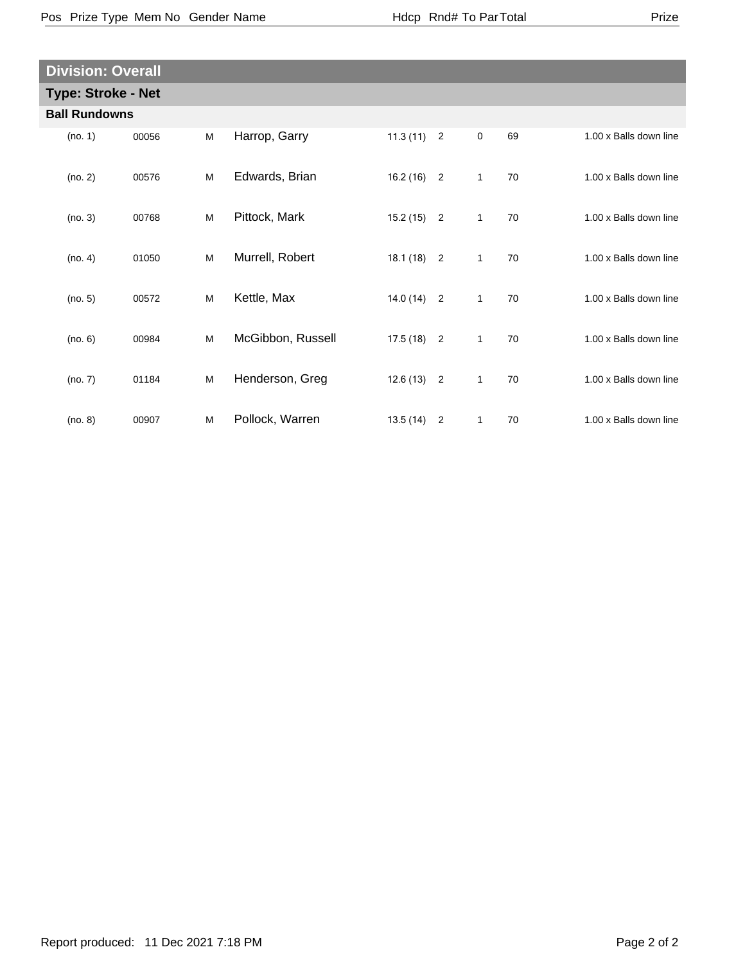| <b>Division: Overall</b>  |       |   |                   |              |                |              |    |                        |
|---------------------------|-------|---|-------------------|--------------|----------------|--------------|----|------------------------|
| <b>Type: Stroke - Net</b> |       |   |                   |              |                |              |    |                        |
| <b>Ball Rundowns</b>      |       |   |                   |              |                |              |    |                        |
| (no. 1)                   | 00056 | M | Harrop, Garry     | $11.3(11)$ 2 |                | $\mathbf 0$  | 69 | 1.00 x Balls down line |
| (no. 2)                   | 00576 | M | Edwards, Brian    | $16.2(16)$ 2 |                | $\mathbf{1}$ | 70 | 1.00 x Balls down line |
| (no. 3)                   | 00768 | M | Pittock, Mark     | $15.2(15)$ 2 |                | $\mathbf{1}$ | 70 | 1.00 x Balls down line |
| (no. 4)                   | 01050 | M | Murrell, Robert   | $18.1(18)$ 2 |                | $\mathbf{1}$ | 70 | 1.00 x Balls down line |
| (no. 5)                   | 00572 | M | Kettle, Max       | $14.0(14)$ 2 |                | $\mathbf{1}$ | 70 | 1.00 x Balls down line |
| (no. 6)                   | 00984 | M | McGibbon, Russell | $17.5(18)$ 2 |                | $\mathbf{1}$ | 70 | 1.00 x Balls down line |
| (no. 7)                   | 01184 | M | Henderson, Greg   | $12.6(13)$ 2 |                | $\mathbf{1}$ | 70 | 1.00 x Balls down line |
| (no. 8)                   | 00907 | м | Pollock, Warren   | 13.5 (14)    | $\overline{2}$ | 1            | 70 | 1.00 x Balls down line |